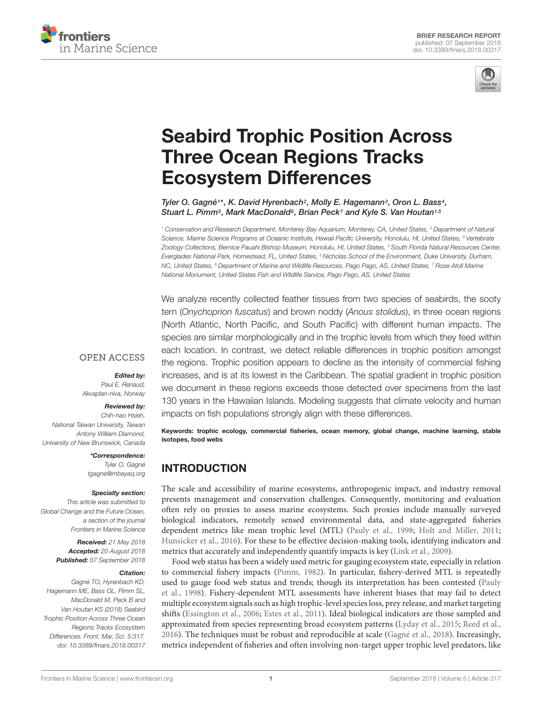



# [Seabird Trophic Position Across](https://www.frontiersin.org/articles/10.3389/fmars.2018.00317/full) Three Ocean Regions Tracks Ecosystem Differences

[Tyler O. Gagné](http://loop.frontiersin.org/people/563817/overview)1\*, [K. David Hyrenbach](http://loop.frontiersin.org/people/138414/overview)<sup>2</sup>, Molly E. Hagemann<sup>3</sup>, Oron L. Bass<sup>4</sup>, [Stuart L. Pimm](http://loop.frontiersin.org/people/184078/overview)<sup>5</sup>, Mark MacDonald<sup>6</sup>, Brian Peck<sup>7</sup> and [Kyle S. Van Houtan](http://loop.frontiersin.org/people/503396/overview)<sup>1,5</sup>

<sup>1</sup> Conservation and Research Department, Monterey Bay Aquarium, Monterey, CA, United States, <sup>2</sup> Department of Natural Science, Marine Science Programs at Oceanic Institute, Hawaii Pacific University, Honolulu, HI, United States, <sup>3</sup> Vertebrate Zoology Collections, Bernice Pauahi Bishop Museum, Honolulu, HI, United States, <sup>4</sup> South Florida Natural Resources Center, Everglades National Park, Homestead, FL, United States, <sup>5</sup> Nicholas School of the Environment, Duke University, Durham, NC, United States, <sup>6</sup> Department of Marine and Wildlife Resources, Pago Pago, AS, United States, <sup>7</sup> Rose Atoll Marine National Monument, United States Fish and Wildlife Service, Pago Pago, AS, United States

We analyze recently collected feather tissues from two species of seabirds, the sooty tern (Onychoprion fuscatus) and brown noddy (Anous stolidus), in three ocean regions (North Atlantic, North Pacific, and South Pacific) with different human impacts. The species are similar morphologically and in the trophic levels from which they feed within each location. In contrast, we detect reliable differences in trophic position amongst the regions. Trophic position appears to decline as the intensity of commercial fishing increases, and is at its lowest in the Caribbean. The spatial gradient in trophic position we document in these regions exceeds those detected over specimens from the last 130 years in the Hawaiian Islands. Modeling suggests that climate velocity and human impacts on fish populations strongly align with these differences.

Keywords: trophic ecology, commercial fisheries, ocean memory, global change, machine learning, stable isotopes, food webs

# INTRODUCTION

The scale and accessibility of marine ecosystems, anthropogenic impact, and industry removal presents management and conservation challenges. Consequently, monitoring and evaluation often rely on proxies to assess marine ecosystems. Such proxies include manually surveyed biological indicators, remotely sensed environmental data, and state-aggregated fisheries dependent metrics like mean trophic level (MTL) [\(Pauly et al.,](#page-4-0) [1998;](#page-4-0) [Holt and Miller,](#page-4-1) [2011;](#page-4-1) [Hunsicker et al.,](#page-4-2) [2016\)](#page-4-2). For these to be effective decision-making tools, identifying indicators and metrics that accurately and independently quantify impacts is key [\(Link et al.,](#page-4-3) [2009\)](#page-4-3).

Food web status has been a widely used metric for gauging ecosystem state, especially in relation to commercial fishery impacts [\(Pimm,](#page-4-4) [1982\)](#page-4-4). In particular, fishery-derived MTL is repeatedly used to gauge food web status and trends; though its interpretation has been contested [\(Pauly](#page-4-0) [et al.,](#page-4-0) [1998\)](#page-4-0). Fishery-dependent MTL assessments have inherent biases that may fail to detect multiple ecosystem signals such as high trophic-level species loss, prey release, and market targeting shifts [\(Essington et al.,](#page-4-5) [2006;](#page-4-5) [Estes et al.,](#page-4-6) [2011\)](#page-4-6). Ideal biological indicators are those sampled and approximated from species representing broad ecosystem patterns [\(Lyday et al.,](#page-4-7) [2015;](#page-4-7) [Reed et al.,](#page-4-8) [2016\)](#page-4-8). The techniques must be robust and reproducible at scale [\(Gagné et al.,](#page-4-9) [2018\)](#page-4-9). Increasingly, metrics independent of fisheries and often involving non-target upper trophic level predators, like

#### **OPEN ACCESS**

Edited by:

Paul E. Renaud, Akvaplan-niva, Norway

#### Reviewed by:

Chih-hao Hsieh, National Taiwan University, Taiwan Antony William Diamond, University of New Brunswick, Canada

> \*Correspondence: Tyler O. Gagné tgagne@mbayaq.org

#### Specialty section:

This article was submitted to Global Change and the Future Ocean, a section of the journal Frontiers in Marine Science

> Received: 21 May 2018 Accepted: 20 August 2018 Published: 07 September 2018

#### Citation:

Gagné TO, Hyrenbach KD, Hagemann ME, Bass OL, Pimm SL, MacDonald M, Peck B and Van Houtan KS (2018) Seabird Trophic Position Across Three Ocean Regions Tracks Ecosystem Differences. Front. Mar. Sci. 5:317. doi: [10.3389/fmars.2018.00317](https://doi.org/10.3389/fmars.2018.00317)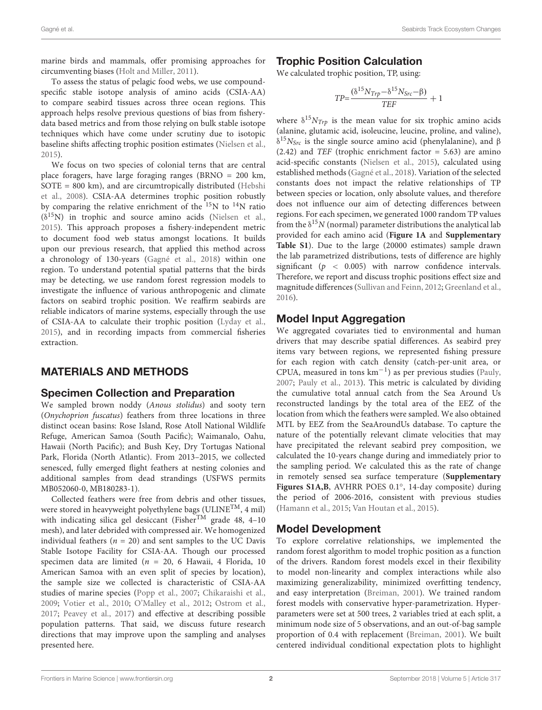marine birds and mammals, offer promising approaches for circumventing biases [\(Holt and Miller,](#page-4-1) [2011\)](#page-4-1).

To assess the status of pelagic food webs, we use compoundspecific stable isotope analysis of amino acids (CSIA-AA) to compare seabird tissues across three ocean regions. This approach helps resolve previous questions of bias from fisherydata based metrics and from those relying on bulk stable isotope techniques which have come under scrutiny due to isotopic baseline shifts affecting trophic position estimates [\(Nielsen et al.,](#page-4-10) [2015\)](#page-4-10).

We focus on two species of colonial terns that are central place foragers, have large foraging ranges (BRNO = 200 km, SOTE = 800 km), and are circumtropically distributed [\(Hebshi](#page-4-11) [et al.,](#page-4-11) [2008\)](#page-4-11). CSIA-AA determines trophic position robustly by comparing the relative enrichment of the  $^{15}N$  to  $^{14}N$  ratio  $(\delta^{15}N)$  in trophic and source amino acids [\(Nielsen et al.,](#page-4-10) [2015\)](#page-4-10). This approach proposes a fishery-independent metric to document food web status amongst locations. It builds upon our previous research, that applied this method across a chronology of 130-years [\(Gagné et al.,](#page-4-9) [2018\)](#page-4-9) within one region. To understand potential spatial patterns that the birds may be detecting, we use random forest regression models to investigate the influence of various anthropogenic and climate factors on seabird trophic position. We reaffirm seabirds are reliable indicators of marine systems, especially through the use of CSIA-AA to calculate their trophic position [\(Lyday et al.,](#page-4-7) [2015\)](#page-4-7), and in recording impacts from commercial fisheries extraction.

## MATERIALS AND METHODS

#### Specimen Collection and Preparation

We sampled brown noddy (Anous stolidus) and sooty tern (Onychoprion fuscatus) feathers from three locations in three distinct ocean basins: Rose Island, Rose Atoll National Wildlife Refuge, American Samoa (South Pacific); Waimanalo, Oahu, Hawaii (North Pacific); and Bush Key, Dry Tortugas National Park, Florida (North Atlantic). From 2013–2015, we collected senesced, fully emerged flight feathers at nesting colonies and additional samples from dead strandings (USFWS permits MB052060-0, MB180283-1).

Collected feathers were free from debris and other tissues, were stored in heavyweight polyethylene bags (ULINE<sup>TM</sup>, 4 mil) with indicating silica gel desiccant (Fisher<sup>TM</sup> grade 48, 4-10) mesh), and later debrided with compressed air. We homogenized individual feathers ( $n = 20$ ) and sent samples to the UC Davis Stable Isotope Facility for CSIA-AA. Though our processed specimen data are limited ( $n = 20$ , 6 Hawaii, 4 Florida, 10 American Samoa with an even split of species by location), the sample size we collected is characteristic of CSIA-AA studies of marine species [\(Popp et al.,](#page-4-12) [2007;](#page-4-12) [Chikaraishi et al.,](#page-4-13) [2009;](#page-4-13) [Votier et al.,](#page-4-14) [2010;](#page-4-14) [O'Malley et al.,](#page-4-15) [2012;](#page-4-15) [Ostrom et al.,](#page-4-16) [2017;](#page-4-16) [Peavey et al.,](#page-4-17) [2017\)](#page-4-17) and effective at describing possible population patterns. That said, we discuss future research directions that may improve upon the sampling and analyses presented here.

## Trophic Position Calculation

We calculated trophic position, TP, using:

$$
TP = \frac{(\delta^{15}N_{Trp} - \delta^{15}N_{Src} - \beta)}{TEF} + 1
$$

where  $\delta^{15} N_{Trp}$  is the mean value for six trophic amino acids (alanine, glutamic acid, isoleucine, leucine, proline, and valine),  $δ<sup>15</sup>N<sub>Src</sub>$  is the single source amino acid (phenylalanine), and β  $(2.42)$  and *TEF* (trophic enrichment factor = 5.63) are amino acid-specific constants [\(Nielsen et al.,](#page-4-10) [2015\)](#page-4-10), calculated using established methods [\(Gagné et al.,](#page-4-9) [2018\)](#page-4-9). Variation of the selected constants does not impact the relative relationships of TP between species or location, only absolute values, and therefore does not influence our aim of detecting differences between regions. For each specimen, we generated 1000 random TP values from the  $\delta^{15}N$  (normal) parameter distributions the analytical lab provided for each amino acid (**[Figure 1A](#page-2-0)** and **[Supplementary](#page-3-0) [Table S1](#page-3-0)**). Due to the large (20000 estimates) sample drawn the lab parametrized distributions, tests of difference are highly significant ( $p < 0.005$ ) with narrow confidence intervals. Therefore, we report and discuss trophic positions effect size and magnitude differences [\(Sullivan and Feinn,](#page-4-18) [2012;](#page-4-18) [Greenland et al.,](#page-4-19) [2016\)](#page-4-19).

## Model Input Aggregation

We aggregated covariates tied to environmental and human drivers that may describe spatial differences. As seabird prey items vary between regions, we represented fishing pressure for each region with catch density (catch-per-unit area, or CPUA, measured in tons km−<sup>1</sup> ) as per previous studies [\(Pauly,](#page-4-20) [2007;](#page-4-20) [Pauly et al.,](#page-4-21) [2013\)](#page-4-21). This metric is calculated by dividing the cumulative total annual catch from the Sea Around Us reconstructed landings by the total area of the EEZ of the location from which the feathers were sampled. We also obtained MTL by EEZ from the SeaAroundUs database. To capture the nature of the potentially relevant climate velocities that may have precipitated the relevant seabird prey composition, we calculated the 10-years change during and immediately prior to the sampling period. We calculated this as the rate of change in remotely sensed sea surface temperature (**[Supplementary](#page-3-0) [Figures S1A,B](#page-3-0)**, AVHRR POES 0.1◦ , 14-day composite) during the period of 2006-2016, consistent with previous studies [\(Hamann et al.,](#page-4-22) [2015;](#page-4-22) [Van Houtan et al.,](#page-4-23) [2015\)](#page-4-23).

## Model Development

To explore correlative relationships, we implemented the random forest algorithm to model trophic position as a function of the drivers. Random forest models excel in their flexibility to model non-linearity and complex interactions while also maximizing generalizability, minimized overfitting tendency, and easy interpretation [\(Breiman,](#page-4-24) [2001\)](#page-4-24). We trained random forest models with conservative hyper-parametrization. Hyperparameters were set at 500 trees, 2 variables tried at each split, a minimum node size of 5 observations, and an out-of-bag sample proportion of 0.4 with replacement [\(Breiman,](#page-4-24) [2001\)](#page-4-24). We built centered individual conditional expectation plots to highlight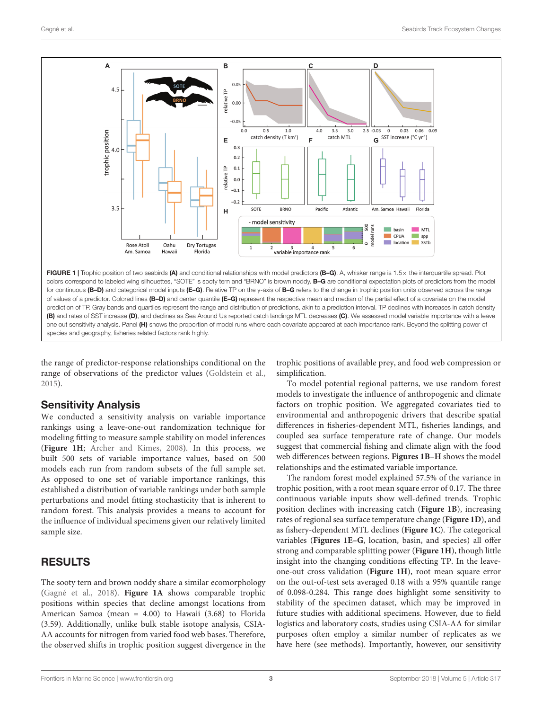

<span id="page-2-0"></span>prediction of TP. Gray bands and quartiles represent the range and distribution of predictions, akin to a prediction interval. TP declines with increases in catch density (B) and rates of SST increase (D), and declines as Sea Around Us reported catch landings MTL decreases (C). We assessed model variable importance with a leave one out sensitivity analysis. Panel (H) shows the proportion of model runs where each covariate appeared at each importance rank. Beyond the splitting power of species and geography, fisheries related factors rank highly.

the range of predictor-response relationships conditional on the range of observations of the predictor values [\(Goldstein et al.,](#page-4-25) [2015\)](#page-4-25).

#### Sensitivity Analysis

We conducted a sensitivity analysis on variable importance rankings using a leave-one-out randomization technique for modeling fitting to measure sample stability on model inferences (**[Figure 1H](#page-2-0)**; [Archer and Kimes,](#page-4-26) [2008\)](#page-4-26). In this process, we built 500 sets of variable importance values, based on 500 models each run from random subsets of the full sample set. As opposed to one set of variable importance rankings, this established a distribution of variable rankings under both sample perturbations and model fitting stochasticity that is inherent to random forest. This analysis provides a means to account for the influence of individual specimens given our relatively limited sample size.

## RESULTS

The sooty tern and brown noddy share a similar ecomorphology [\(Gagné et al.,](#page-4-9) [2018\)](#page-4-9). **[Figure 1A](#page-2-0)** shows comparable trophic positions within species that decline amongst locations from American Samoa (mean = 4.00) to Hawaii (3.68) to Florida (3.59). Additionally, unlike bulk stable isotope analysis, CSIA-AA accounts for nitrogen from varied food web bases. Therefore, the observed shifts in trophic position suggest divergence in the

trophic positions of available prey, and food web compression or simplification.

To model potential regional patterns, we use random forest models to investigate the influence of anthropogenic and climate factors on trophic position. We aggregated covariates tied to environmental and anthropogenic drivers that describe spatial differences in fisheries-dependent MTL, fisheries landings, and coupled sea surface temperature rate of change. Our models suggest that commercial fishing and climate align with the food web differences between regions. **[Figures 1B–H](#page-2-0)** shows the model relationships and the estimated variable importance.

The random forest model explained 57.5% of the variance in trophic position, with a root mean square error of 0.17. The three continuous variable inputs show well-defined trends. Trophic position declines with increasing catch (**[Figure 1B](#page-2-0)**), increasing rates of regional sea surface temperature change (**[Figure 1D](#page-2-0)**), and as fishery-dependent MTL declines (**[Figure 1C](#page-2-0)**). The categorical variables (**[Figures 1E–G](#page-2-0)**, location, basin, and species) all offer strong and comparable splitting power (**[Figure 1H](#page-2-0)**), though little insight into the changing conditions effecting TP. In the leaveone-out cross validation (**[Figure 1H](#page-2-0)**), root mean square error on the out-of-test sets averaged 0.18 with a 95% quantile range of 0.098-0.284. This range does highlight some sensitivity to stability of the specimen dataset, which may be improved in future studies with additional specimens. However, due to field logistics and laboratory costs, studies using CSIA-AA for similar purposes often employ a similar number of replicates as we have here (see methods). Importantly, however, our sensitivity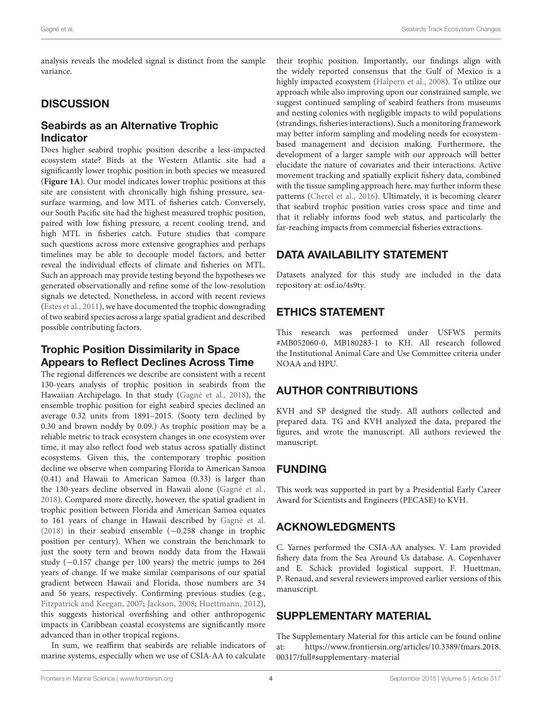analysis reveals the modeled signal is distinct from the sample variance.

# **DISCUSSION**

## Seabirds as an Alternative Trophic Indicator

Does higher seabird trophic position describe a less-impacted ecosystem state? Birds at the Western Atlantic site had a significantly lower trophic position in both species we measured (**[Figure 1A](#page-2-0)**). Our model indicates lower trophic positions at this site are consistent with chronically high fishing pressure, seasurface warming, and low MTL of fisheries catch. Conversely, our South Pacific site had the highest measured trophic position, paired with low fishing pressure, a recent cooling trend, and high MTL in fisheries catch. Future studies that compare such questions across more extensive geographies and perhaps timelines may be able to decouple model factors, and better reveal the individual effects of climate and fisheries on MTL. Such an approach may provide testing beyond the hypotheses we generated observationally and refine some of the low-resolution signals we detected. Nonetheless, in accord with recent reviews [\(Estes et al.,](#page-4-6) [2011\)](#page-4-6), we have documented the trophic downgrading of two seabird species across a large spatial gradient and described possible contributing factors.

## Trophic Position Dissimilarity in Space Appears to Reflect Declines Across Time

The regional differences we describe are consistent with a recent 130-years analysis of trophic position in seabirds from the Hawaiian Archipelago. In that study [\(Gagné et al.,](#page-4-9) [2018\)](#page-4-9), the ensemble trophic position for eight seabird species declined an average 0.32 units from 1891–2015. (Sooty tern declined by 0.30 and brown noddy by 0.09.) As trophic position may be a reliable metric to track ecosystem changes in one ecosystem over time, it may also reflect food web status across spatially distinct ecosystems. Given this, the contemporary trophic position decline we observe when comparing Florida to American Samoa (0.41) and Hawaii to American Samoa (0.33) is larger than the 130-years decline observed in Hawaii alone [\(Gagné et al.,](#page-4-9) [2018\)](#page-4-9). Compared more directly, however, the spatial gradient in trophic position between Florida and American Samoa equates to 161 years of change in Hawaii described by [Gagné et al.](#page-4-9) [\(2018\)](#page-4-9) in their seabird ensemble (−0.258 change in trophic position per century). When we constrain the benchmark to just the sooty tern and brown noddy data from the Hawaii study (−0.157 change per 100 years) the metric jumps to 264 years of change. If we make similar comparisons of our spatial gradient between Hawaii and Florida, those numbers are 34 and 56 years, respectively. Confirming previous studies (e.g., [Fitzpatrick and Keegan,](#page-4-27) [2007;](#page-4-27) [Jackson,](#page-4-28) [2008;](#page-4-28) [Huettmann,](#page-4-29) [2012\)](#page-4-29), this suggests historical overfishing and other anthropogenic impacts in Caribbean coastal ecosystems are significantly more advanced than in other tropical regions.

In sum, we reaffirm that seabirds are reliable indicators of marine systems, especially when we use of CSIA-AA to calculate

their trophic position. Importantly, our findings align with the widely reported consensus that the Gulf of Mexico is a highly impacted ecosystem [\(Halpern et al.,](#page-4-30) [2008\)](#page-4-30). To utilize our approach while also improving upon our constrained sample, we suggest continued sampling of seabird feathers from museums and nesting colonies with negligible impacts to wild populations (strandings, fisheries interactions). Such a monitoring framework may better inform sampling and modeling needs for ecosystembased management and decision making. Furthermore, the development of a larger sample with our approach will better elucidate the nature of covariates and their interactions. Active movement tracking and spatially explicit fishery data, combined with the tissue sampling approach here, may further inform these patterns [\(Cherel et al.,](#page-4-31) [2016\)](#page-4-31). Ultimately, it is becoming clearer that seabird trophic position varies cross space and time and that it reliably informs food web status, and particularly the far-reaching impacts from commercial fisheries extractions.

# DATA AVAILABILITY STATEMENT

Datasets analyzed for this study are included in the data repository at: [osf.io/4s9ty.](https://osf.io/4s9ty/)

# ETHICS STATEMENT

This research was performed under USFWS permits #MB052060-0, MB180283-1 to KH. All research followed the Institutional Animal Care and Use Committee criteria under NOAA and HPU.

# AUTHOR CONTRIBUTIONS

KVH and SP designed the study. All authors collected and prepared data. TG and KVH analyzed the data, prepared the figures, and wrote the manuscript. All authors reviewed the manuscript.

# FUNDING

This work was supported in part by a Presidential Early Career Award for Scientists and Engineers (PECASE) to KVH.

# ACKNOWLEDGMENTS

C. Yarnes performed the CSIA-AA analyses. V. Lam provided fishery data from the Sea Around Us database. A. Copenhaver and E. Schick provided logistical support. F. Huettman, P. Renaud, and several reviewers improved earlier versions of this manuscript.

# <span id="page-3-0"></span>SUPPLEMENTARY MATERIAL

The Supplementary Material for this article can be found online at: [https://www.frontiersin.org/articles/10.3389/fmars.2018.](https://www.frontiersin.org/articles/10.3389/fmars.2018.00317/full#supplementary-material) [00317/full#supplementary-material](https://www.frontiersin.org/articles/10.3389/fmars.2018.00317/full#supplementary-material)